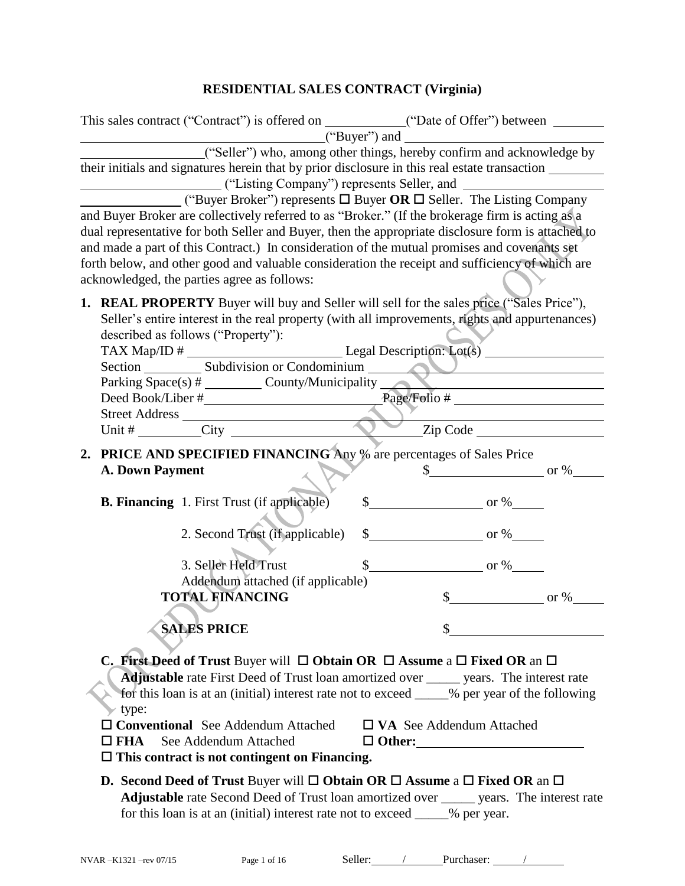## **RESIDENTIAL SALES CONTRACT (Virginia)**

|               | This sales contract ("Contract") is offered on ____________("Date of Offer") between _______________                                                                                                                                                                                                                                                                                                                                                                                                                                                                                                                                                                                                                                                                                       |                                                                      |                                  |
|---------------|--------------------------------------------------------------------------------------------------------------------------------------------------------------------------------------------------------------------------------------------------------------------------------------------------------------------------------------------------------------------------------------------------------------------------------------------------------------------------------------------------------------------------------------------------------------------------------------------------------------------------------------------------------------------------------------------------------------------------------------------------------------------------------------------|----------------------------------------------------------------------|----------------------------------|
|               | ("Seller") who, among other things, hereby confirm and acknowledge by<br>their initials and signatures herein that by prior disclosure in this real estate transaction _______<br>("Listing Company") represents Seller, and<br><b>Example 10.1</b> ("Buyer Broker") represents $\Box$ Buyer OR $\Box$ Seller. The Listing Company<br>and Buyer Broker are collectively referred to as "Broker." (If the brokerage firm is acting as a<br>dual representative for both Seller and Buyer, then the appropriate disclosure form is attached to<br>and made a part of this Contract.) In consideration of the mutual promises and covenants set                                                                                                                                               |                                                                      |                                  |
|               | forth below, and other good and valuable consideration the receipt and sufficiency of which are<br>acknowledged, the parties agree as follows:                                                                                                                                                                                                                                                                                                                                                                                                                                                                                                                                                                                                                                             |                                                                      |                                  |
|               | 1. REAL PROPERTY Buyer will buy and Seller will sell for the sales price ("Sales Price"),<br>Seller's entire interest in the real property (with all improvements, rights and appurtenances)<br>described as follows ("Property"):<br>Parking Space(s) # _________ County/Municipality ______                                                                                                                                                                                                                                                                                                                                                                                                                                                                                              |                                                                      | $\blacksquare$                   |
|               |                                                                                                                                                                                                                                                                                                                                                                                                                                                                                                                                                                                                                                                                                                                                                                                            |                                                                      |                                  |
|               | 2. PRICE AND SPECIFIED FINANCING Any % are percentages of Sales Price<br><b>A. Down Payment</b>                                                                                                                                                                                                                                                                                                                                                                                                                                                                                                                                                                                                                                                                                            |                                                                      | $\text{\$\$}$ or %               |
|               | <b>B. Financing</b> 1. First Trust (if applicable)<br>2. Second Trust (if applicable)                                                                                                                                                                                                                                                                                                                                                                                                                                                                                                                                                                                                                                                                                                      | $\frac{\text{S}}{\text{S}}$ or %<br>$\frac{\text{S}}{\text{S}}$ or % |                                  |
|               | 3. Seller Held Trust<br>Addendum attached (if applicable)<br><b>TOTAL FINANCING</b>                                                                                                                                                                                                                                                                                                                                                                                                                                                                                                                                                                                                                                                                                                        | $\frac{\text{S}}{\text{O}}$ or %                                     | $\frac{\text{S}}{\text{S}}$ or % |
|               | <b>SALES PRICE</b>                                                                                                                                                                                                                                                                                                                                                                                                                                                                                                                                                                                                                                                                                                                                                                         |                                                                      |                                  |
| $\square$ FHA | <b>C. First Deed of Trust Buyer will <math>\Box</math> Obtain OR <math>\Box</math> Assume a <math>\Box</math> Fixed OR an <math>\Box</math></b><br><b>Adjustable</b> rate First Deed of Trust loan amortized over ______ years. The interest rate<br>for this loan is at an (initial) interest rate not to exceed ____% per year of the following<br>type:<br>$\Box$ Conventional See Addendum Attached<br>See Addendum Attached<br>$\Box$ This contract is not contingent on Financing.<br><b>D.</b> Second Deed of Trust Buyer will $\Box$ Obtain OR $\Box$ Assume a $\Box$ Fixed OR an $\Box$<br><b>Adjustable</b> rate Second Deed of Trust loan amortized over <u>equal</u> years. The interest rate<br>for this loan is at an (initial) interest rate not to exceed _____% per year. | $\Box$ VA See Addendum Attached<br>$\Box$ Other:                     |                                  |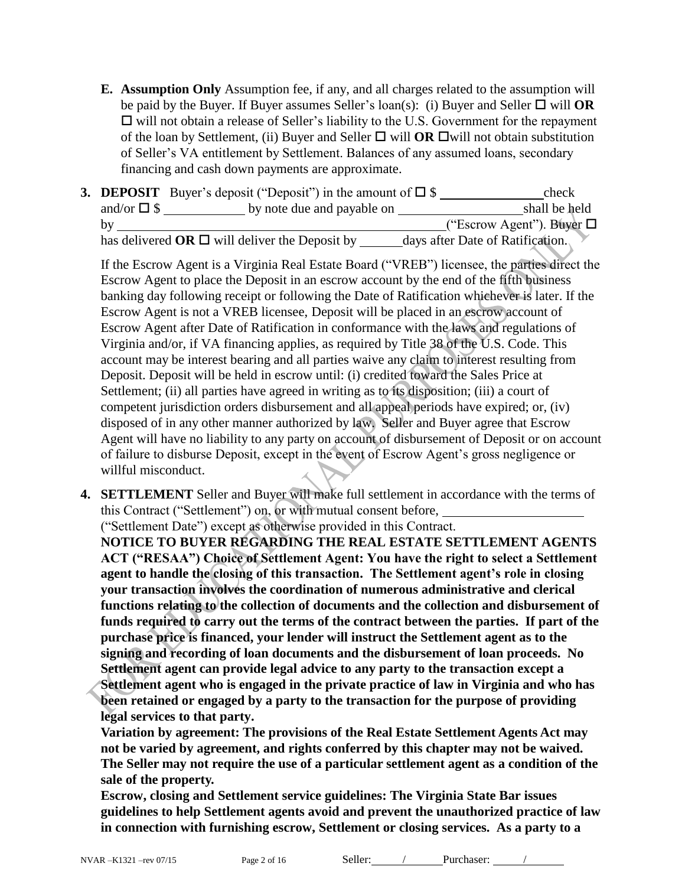**E. Assumption Only** Assumption fee, if any, and all charges related to the assumption will be paid by the Buyer. If Buyer assumes Seller's  $\text{loan}(s)$ : (i) Buyer and Seller  $\Box$  will **OR**  $\Box$  will not obtain a release of Seller's liability to the U.S. Government for the repayment of the loan by Settlement, (ii) Buyer and Seller  $\Box$  will **OR**  $\Box$  will not obtain substitution of Seller's VA entitlement by Settlement. Balances of any assumed loans, secondary financing and cash down payments are approximate.

|                     | <b>3. DEPOSIT</b> Buyer's deposit ("Deposit") in the amount of $\square$ \$ | check                            |
|---------------------|-----------------------------------------------------------------------------|----------------------------------|
| and/or $\square$ \$ | by note due and payable on                                                  | shall be held                    |
| by                  |                                                                             | ("Escrow Agent"). Buyer $\Box$   |
|                     | has delivered OR $\Box$ will deliver the Deposit by                         | days after Date of Ratification. |

If the Escrow Agent is a Virginia Real Estate Board ("VREB") licensee, the parties direct the Escrow Agent to place the Deposit in an escrow account by the end of the fifth business banking day following receipt or following the Date of Ratification whichever is later. If the Escrow Agent is not a VREB licensee, Deposit will be placed in an escrow account of Escrow Agent after Date of Ratification in conformance with the laws and regulations of Virginia and/or, if VA financing applies, as required by Title 38 of the U.S. Code. This account may be interest bearing and all parties waive any claim to interest resulting from Deposit. Deposit will be held in escrow until: (i) credited toward the Sales Price at Settlement; (ii) all parties have agreed in writing as to its disposition; (iii) a court of competent jurisdiction orders disbursement and all appeal periods have expired; or, (iv) disposed of in any other manner authorized by law. Seller and Buyer agree that Escrow Agent will have no liability to any party on account of disbursement of Deposit or on account of failure to disburse Deposit, except in the event of Escrow Agent's gross negligence or willful misconduct.

**4. SETTLEMENT** Seller and Buyer will make full settlement in accordance with the terms of this Contract ("Settlement") on, or with mutual consent before,

("Settlement Date") except as otherwise provided in this Contract.

**NOTICE TO BUYER REGARDING THE REAL ESTATE SETTLEMENT AGENTS ACT ("RESAA") Choice of Settlement Agent: You have the right to select a Settlement agent to handle the closing of this transaction. The Settlement agent's role in closing your transaction involves the coordination of numerous administrative and clerical functions relating to the collection of documents and the collection and disbursement of funds required to carry out the terms of the contract between the parties. If part of the purchase price is financed, your lender will instruct the Settlement agent as to the signing and recording of loan documents and the disbursement of loan proceeds. No Settlement agent can provide legal advice to any party to the transaction except a Settlement agent who is engaged in the private practice of law in Virginia and who has been retained or engaged by a party to the transaction for the purpose of providing legal services to that party.** 

**Variation by agreement: The provisions of the Real Estate Settlement Agents Act may not be varied by agreement, and rights conferred by this chapter may not be waived. The Seller may not require the use of a particular settlement agent as a condition of the sale of the property.** 

**Escrow, closing and Settlement service guidelines: The Virginia State Bar issues guidelines to help Settlement agents avoid and prevent the unauthorized practice of law in connection with furnishing escrow, Settlement or closing services. As a party to a**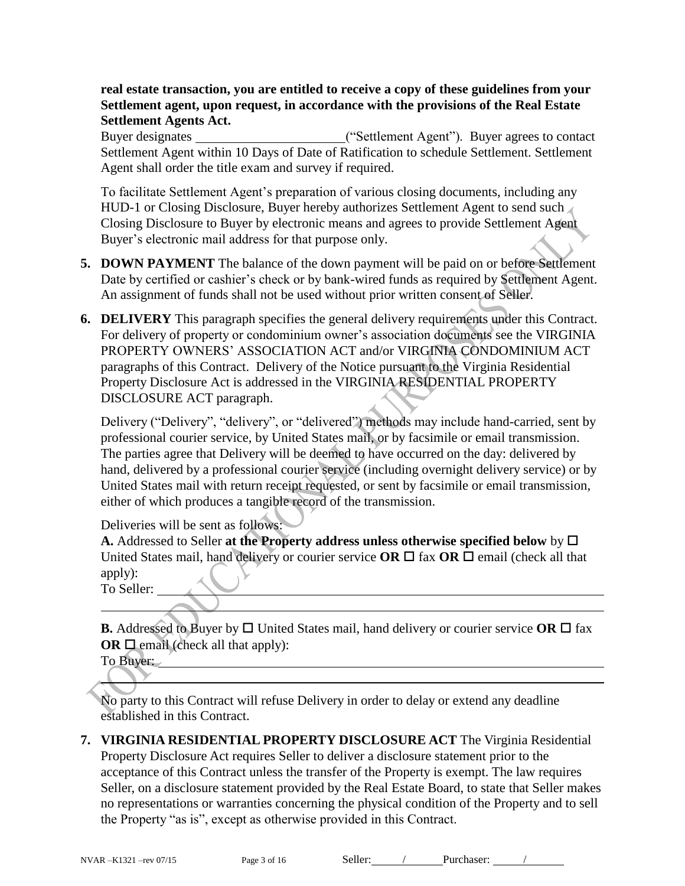#### **real estate transaction, you are entitled to receive a copy of these guidelines from your Settlement agent, upon request, in accordance with the provisions of the Real Estate Settlement Agents Act.**

Buyer designates ("Settlement Agent"). Buyer agrees to contact Settlement Agent within 10 Days of Date of Ratification to schedule Settlement. Settlement Agent shall order the title exam and survey if required.

To facilitate Settlement Agent's preparation of various closing documents, including any HUD-1 or Closing Disclosure, Buyer hereby authorizes Settlement Agent to send such Closing Disclosure to Buyer by electronic means and agrees to provide Settlement Agent Buyer's electronic mail address for that purpose only.

- **5. DOWN PAYMENT** The balance of the down payment will be paid on or before Settlement Date by certified or cashier's check or by bank-wired funds as required by Settlement Agent. An assignment of funds shall not be used without prior written consent of Seller.
- **6. DELIVERY** This paragraph specifies the general delivery requirements under this Contract. For delivery of property or condominium owner's association documents see the VIRGINIA PROPERTY OWNERS' ASSOCIATION ACT and/or VIRGINIA CONDOMINIUM ACT paragraphs of this Contract. Delivery of the Notice pursuant to the Virginia Residential Property Disclosure Act is addressed in the VIRGINIA RESIDENTIAL PROPERTY DISCLOSURE ACT paragraph.

Delivery ("Delivery", "delivery", or "delivered") methods may include hand-carried, sent by professional courier service, by United States mail, or by facsimile or email transmission. The parties agree that Delivery will be deemed to have occurred on the day: delivered by hand, delivered by a professional courier service (including overnight delivery service) or by United States mail with return receipt requested, or sent by facsimile or email transmission, either of which produces a tangible record of the transmission.

Deliveries will be sent as follows:

**A.** Addressed to Seller **at the Property address unless otherwise specified below** by United States mail, hand delivery or courier service  $OR \square$  fax  $OR \square$  email (check all that apply):

To Seller:

**B.** Addressed to Buyer by  $\Box$  United States mail, hand delivery or courier service OR  $\Box$  fax **OR**  $\Box$  email (check all that apply):

To Buyer:

No party to this Contract will refuse Delivery in order to delay or extend any deadline established in this Contract.

**7. VIRGINIA RESIDENTIAL PROPERTY DISCLOSURE ACT** The Virginia Residential Property Disclosure Act requires Seller to deliver a disclosure statement prior to the acceptance of this Contract unless the transfer of the Property is exempt. The law requires Seller, on a disclosure statement provided by the Real Estate Board, to state that Seller makes no representations or warranties concerning the physical condition of the Property and to sell the Property "as is", except as otherwise provided in this Contract.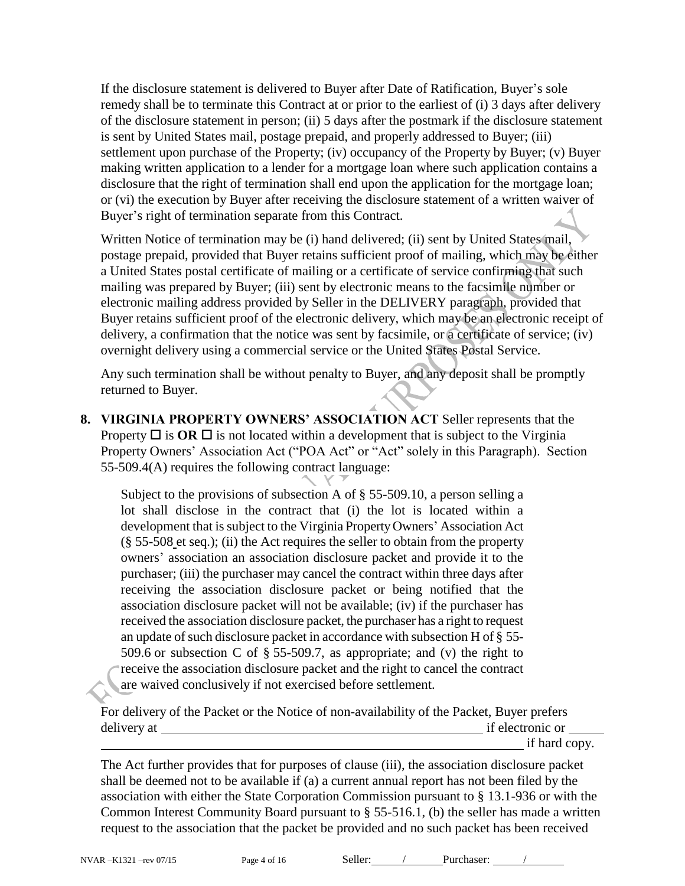If the disclosure statement is delivered to Buyer after Date of Ratification, Buyer's sole remedy shall be to terminate this Contract at or prior to the earliest of (i) 3 days after delivery of the disclosure statement in person; (ii) 5 days after the postmark if the disclosure statement is sent by United States mail, postage prepaid, and properly addressed to Buyer; (iii) settlement upon purchase of the Property; (iv) occupancy of the Property by Buyer; (v) Buyer making written application to a lender for a mortgage loan where such application contains a disclosure that the right of termination shall end upon the application for the mortgage loan; or (vi) the execution by Buyer after receiving the disclosure statement of a written waiver of Buyer's right of termination separate from this Contract.

Written Notice of termination may be (i) hand delivered; (ii) sent by United States mail, postage prepaid, provided that Buyer retains sufficient proof of mailing, which may be either a United States postal certificate of mailing or a certificate of service confirming that such mailing was prepared by Buyer; (iii) sent by electronic means to the facsimile number or electronic mailing address provided by Seller in the DELIVERY paragraph, provided that Buyer retains sufficient proof of the electronic delivery, which may be an electronic receipt of delivery, a confirmation that the notice was sent by facsimile, or a certificate of service; (iv) overnight delivery using a commercial service or the United States Postal Service.

Any such termination shall be without penalty to Buyer, and any deposit shall be promptly returned to Buyer.

**8. VIRGINIA PROPERTY OWNERS' ASSOCIATION ACT** Seller represents that the Property  $\Box$  is  $\overline{OR} \Box$  is not located within a development that is subject to the Virginia Property Owners' Association Act ("POA Act" or "Act" solely in this Paragraph). Section 55-509.4(A) requires the following contract language:

Subject to the provisions of subsection A of § [55-509.10,](http://leg1.state.va.us/cgi-bin/legp504.exe?000+cod+55-509.10) a person selling a lot shall disclose in the contract that (i) the lot is located within a development that is subject to the Virginia Property Owners' Association Act  $(\S 55-508$  $(\S 55-508$  et seq.); (ii) the Act requires the seller to obtain from the property owners' association an association disclosure packet and provide it to the purchaser; (iii) the purchaser may cancel the contract within three days after receiving the association disclosure packet or being notified that the association disclosure packet will not be available; (iv) if the purchaser has received the association disclosure packet, the purchaser has a right to request an update of such disclosure packet in accordance with subsection H of § [55-](http://leg1.state.va.us/cgi-bin/legp504.exe?000+cod+55-509.6) [509.6](http://leg1.state.va.us/cgi-bin/legp504.exe?000+cod+55-509.6) or subsection C of  $\S$  [55-509.7,](http://leg1.state.va.us/cgi-bin/legp504.exe?000+cod+55-509.7) as appropriate; and (v) the right to receive the association disclosure packet and the right to cancel the contract are waived conclusively if not exercised before settlement.

For delivery of the Packet or the Notice of non-availability of the Packet, Buyer prefers delivery at if electronic or

if hard copy.

The Act further provides that for purposes of clause (iii), the association disclosure packet shall be deemed not to be available if (a) a current annual report has not been filed by the association with either the State Corporation Commission pursuant to § [13.1-936](http://leg1.state.va.us/cgi-bin/legp504.exe?000+cod+13.1-936) or with the Common Interest Community Board pursuant to § [55-516.1,](http://leg1.state.va.us/cgi-bin/legp504.exe?000+cod+55-516.1) (b) the seller has made a written request to the association that the packet be provided and no such packet has been received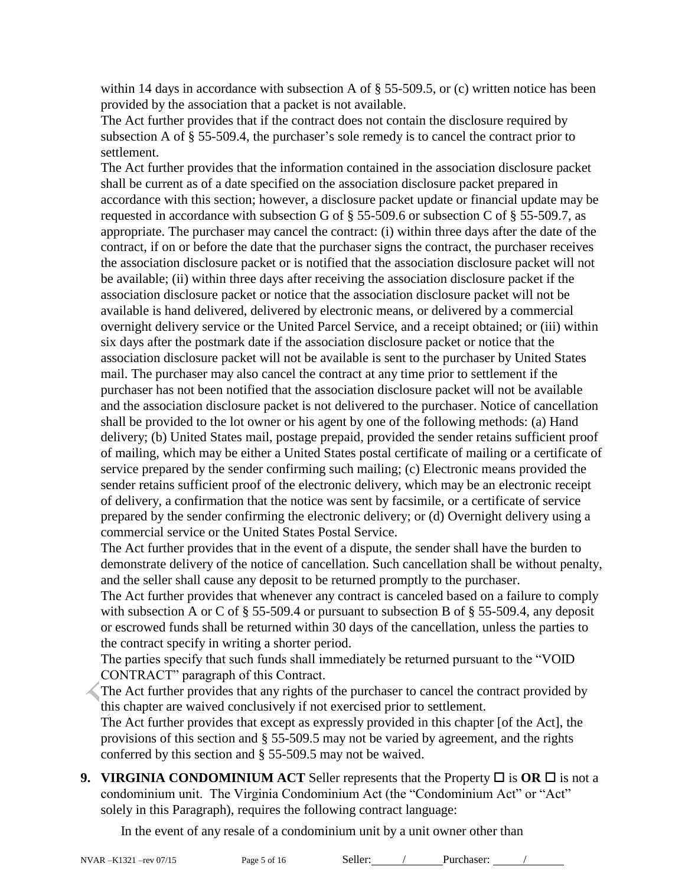within 14 days in accordance with subsection A of  $\S$  [55-509.5,](http://leg1.state.va.us/cgi-bin/legp504.exe?000+cod+55-509.5) or (c) written notice has been provided by the association that a packet is not available.

The Act further provides that if the contract does not contain the disclosure required by subsection A of § 55-509.4, the purchaser's sole remedy is to cancel the contract prior to settlement.

The Act further provides that the information contained in the association disclosure packet shall be current as of a date specified on the association disclosure packet prepared in accordance with this section; however, a disclosure packet update or financial update may be requested in accordance with subsection G of § [55-509.6](http://leg1.state.va.us/cgi-bin/legp504.exe?000+cod+55-509.6) or subsection C of § [55-509.7,](http://leg1.state.va.us/cgi-bin/legp504.exe?000+cod+55-509.7) as appropriate. The purchaser may cancel the contract: (i) within three days after the date of the contract, if on or before the date that the purchaser signs the contract, the purchaser receives the association disclosure packet or is notified that the association disclosure packet will not be available; (ii) within three days after receiving the association disclosure packet if the association disclosure packet or notice that the association disclosure packet will not be available is hand delivered, delivered by electronic means, or delivered by a commercial overnight delivery service or the United Parcel Service, and a receipt obtained; or (iii) within six days after the postmark date if the association disclosure packet or notice that the association disclosure packet will not be available is sent to the purchaser by United States mail. The purchaser may also cancel the contract at any time prior to settlement if the purchaser has not been notified that the association disclosure packet will not be available and the association disclosure packet is not delivered to the purchaser. Notice of cancellation shall be provided to the lot owner or his agent by one of the following methods: (a) Hand delivery; (b) United States mail, postage prepaid, provided the sender retains sufficient proof of mailing, which may be either a United States postal certificate of mailing or a certificate of service prepared by the sender confirming such mailing; (c) Electronic means provided the sender retains sufficient proof of the electronic delivery, which may be an electronic receipt of delivery, a confirmation that the notice was sent by facsimile, or a certificate of service prepared by the sender confirming the electronic delivery; or (d) Overnight delivery using a commercial service or the United States Postal Service.

The Act further provides that in the event of a dispute, the sender shall have the burden to demonstrate delivery of the notice of cancellation. Such cancellation shall be without penalty, and the seller shall cause any deposit to be returned promptly to the purchaser.

The Act further provides that whenever any contract is canceled based on a failure to comply with subsection A or C of § 55-509.4 or pursuant to subsection B of § 55-509.4, any deposit or escrowed funds shall be returned within 30 days of the cancellation, unless the parties to the contract specify in writing a shorter period.

The parties specify that such funds shall immediately be returned pursuant to the "VOID CONTRACT" paragraph of this Contract.

The Act further provides that any rights of the purchaser to cancel the contract provided by this chapter are waived conclusively if not exercised prior to settlement.

The Act further provides that except as expressly provided in this chapter [of the Act], the provisions of this section and § [55-509.5](http://leg1.state.va.us/cgi-bin/legp504.exe?000+cod+55-509.5) may not be varied by agreement, and the rights conferred by this section and § [55-509.5](http://leg1.state.va.us/cgi-bin/legp504.exe?000+cod+55-509.5) may not be waived.

**9. VIRGINIA CONDOMINIUM ACT** Seller represents that the Property  $\Box$  is **OR**  $\Box$  is not a condominium unit. The Virginia Condominium Act (the "Condominium Act" or "Act" solely in this Paragraph), requires the following contract language:

In the event of any resale of a condominium unit by a unit owner other than

$$
haser: /
$$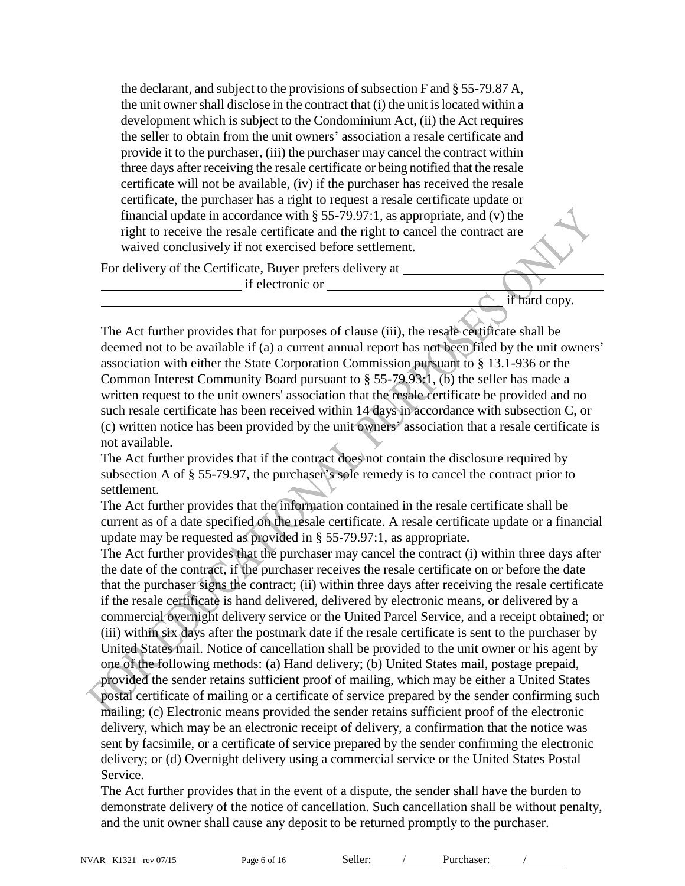the declarant, and subject to the provisions of subsection F and § 55-79.87 A, the unit owner shall disclose in the contract that (i) the unit is located within a development which is subject to the Condominium Act, (ii) the Act requires the seller to obtain from the unit owners' association a resale certificate and provide it to the purchaser, (iii) the purchaser may cancel the contract within three days after receiving the resale certificate or being notified that the resale certificate will not be available, (iv) if the purchaser has received the resale certificate, the purchaser has a right to request a resale certificate update or financial update in accordance with  $\S 55-79.97:1$ , as appropriate, and (v) the right to receive the resale certificate and the right to cancel the contract are waived conclusively if not exercised before settlement.

For delivery of the Certificate, Buyer prefers delivery at

if electronic or

if hard copy.

The Act further provides that for purposes of clause (iii), the resale certificate shall be deemed not to be available if (a) a current annual report has not been filed by the unit owners' association with either the State Corporation Commission pursuant to § 13.1-936 or the Common Interest Community Board pursuant to § 55-79.93:1, (b) the seller has made a written request to the unit owners' association that the resale certificate be provided and no such resale certificate has been received within 14 days in accordance with subsection C, or (c) written notice has been provided by the unit owners' association that a resale certificate is not available.

The Act further provides that if the contract does not contain the disclosure required by subsection A of § 55-79.97, the purchaser's sole remedy is to cancel the contract prior to settlement.

The Act further provides that the information contained in the resale certificate shall be current as of a date specified on the resale certificate. A resale certificate update or a financial update may be requested as provided in § 55-79.97:1, as appropriate.

The Act further provides that the purchaser may cancel the contract (i) within three days after the date of the contract, if the purchaser receives the resale certificate on or before the date that the purchaser signs the contract; (ii) within three days after receiving the resale certificate if the resale certificate is hand delivered, delivered by electronic means, or delivered by a commercial overnight delivery service or the United Parcel Service, and a receipt obtained; or (iii) within six days after the postmark date if the resale certificate is sent to the purchaser by United States mail. Notice of cancellation shall be provided to the unit owner or his agent by one of the following methods: (a) Hand delivery; (b) United States mail, postage prepaid, provided the sender retains sufficient proof of mailing, which may be either a United States postal certificate of mailing or a certificate of service prepared by the sender confirming such mailing; (c) Electronic means provided the sender retains sufficient proof of the electronic delivery, which may be an electronic receipt of delivery, a confirmation that the notice was sent by facsimile, or a certificate of service prepared by the sender confirming the electronic delivery; or (d) Overnight delivery using a commercial service or the United States Postal Service.

The Act further provides that in the event of a dispute, the sender shall have the burden to demonstrate delivery of the notice of cancellation. Such cancellation shall be without penalty, and the unit owner shall cause any deposit to be returned promptly to the purchaser.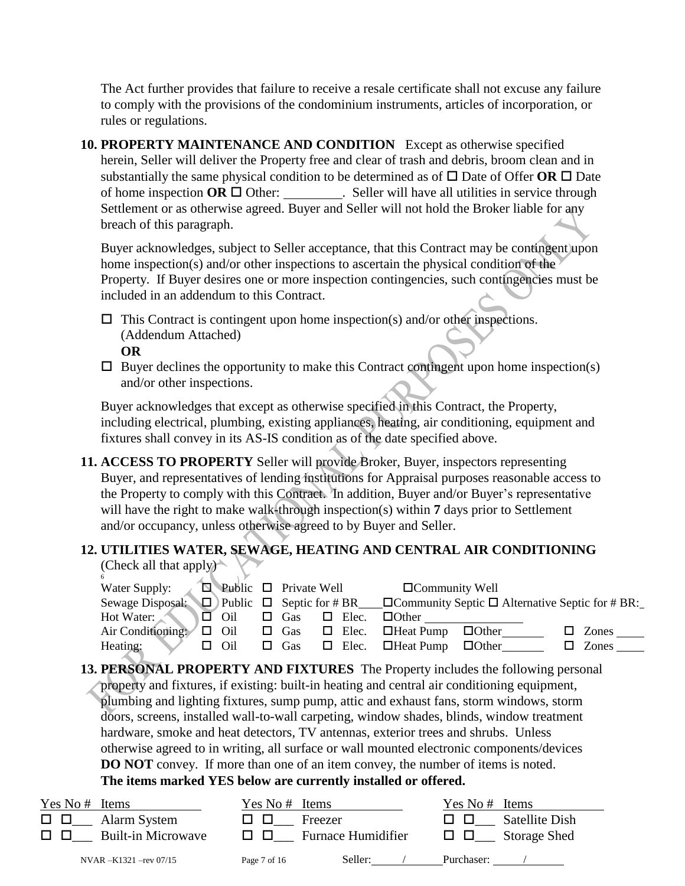The Act further provides that failure to receive a resale certificate shall not excuse any failure to comply with the provisions of the condominium instruments, articles of incorporation, or rules or regulations.

**10. PROPERTY MAINTENANCE AND CONDITION** Except as otherwise specified herein, Seller will deliver the Property free and clear of trash and debris, broom clean and in substantially the same physical condition to be determined as of  $\Box$  Date of Offer **OR**  $\Box$  Date of home inspection  $OR \square$  Other: \_\_\_\_\_\_\_\_\_. Seller will have all utilities in service through Settlement or as otherwise agreed. Buyer and Seller will not hold the Broker liable for any breach of this paragraph.

Buyer acknowledges, subject to Seller acceptance, that this Contract may be contingent upon home inspection(s) and/or other inspections to ascertain the physical condition of the Property. If Buyer desires one or more inspection contingencies, such contingencies must be included in an addendum to this Contract.

- $\Box$  This Contract is contingent upon home inspection(s) and/or other inspections. (Addendum Attached)
	- **OR**
- $\Box$  Buyer declines the opportunity to make this Contract contingent upon home inspection(s) and/or other inspections.

Buyer acknowledges that except as otherwise specified in this Contract, the Property, including electrical, plumbing, existing appliances, heating, air conditioning, equipment and fixtures shall convey in its AS-IS condition as of the date specified above.

**11. ACCESS TO PROPERTY** Seller will provide Broker, Buyer, inspectors representing Buyer, and representatives of lending institutions for Appraisal purposes reasonable access to the Property to comply with this Contract. In addition, Buyer and/or Buyer's representative will have the right to make walk-through inspection(s) within **7** days prior to Settlement and/or occupancy, unless otherwise agreed to by Buyer and Seller.

#### **12. UTILITIES WATER, SEWAGE, HEATING AND CENTRAL AIR CONDITIONING** (Check all that apply)

| 6                                               |            |        |            |              |                                            |                                                                                                                 |              |
|-------------------------------------------------|------------|--------|------------|--------------|--------------------------------------------|-----------------------------------------------------------------------------------------------------------------|--------------|
| Water Supply: $\Box$ Public $\Box$ Private Well |            |        |            |              | $\Box$ Community Well                      |                                                                                                                 |              |
|                                                 |            |        |            |              |                                            | Sewage Disposal: $\Box$ Public $\Box$ Septic for #BR $\Box$ Community Septic $\Box$ Alternative Septic for #BR: |              |
| Hot Water:                                      | $\Box$ Oil |        | $\Box$ Gas | $\Box$ Elec. | $\Box$ Other                               |                                                                                                                 |              |
| Air Conditioning:                               | $\Box$ Oil |        | $\Box$ Gas |              | $\Box$ Elec. $\Box$ Heat Pump $\Box$ Other |                                                                                                                 | $\Box$ Zones |
| Heating:                                        | $\Box$ Oil | $\Box$ | $\Box$ Gas |              | $\Box$ Elec. $\Box$ Heat Pump              | $\Box$ Other                                                                                                    | Zones<br>П   |

**13. PERSONAL PROPERTY AND FIXTURES** The Property includes the following personal property and fixtures, if existing: built-in heating and central air conditioning equipment, plumbing and lighting fixtures, sump pump, attic and exhaust fans, storm windows, storm doors, screens, installed wall-to-wall carpeting, window shades, blinds, window treatment hardware, smoke and heat detectors, TV antennas, exterior trees and shrubs. Unless otherwise agreed to in writing, all surface or wall mounted electronic components/devices **DO NOT** convey. If more than one of an item convey, the number of items is noted. **The items marked YES below are currently installed or offered.** 

# NVAR –K1321 –rev 07/15 Page 7 of 16 Seller: / Purchaser: / Yes No # Items Yes No # Items Yes No # Items Yes No # Items  $\Box$   $\Box$  Alarm System  $\Box$   $\Box$  Freezer  $\Box$   $\Box$  Satellite Dish  $\Box$   $\Box$  Built-in Microwave  $\Box$   $\Box$  Furnace Humidifier  $\Box$   $\Box$  Storage Shed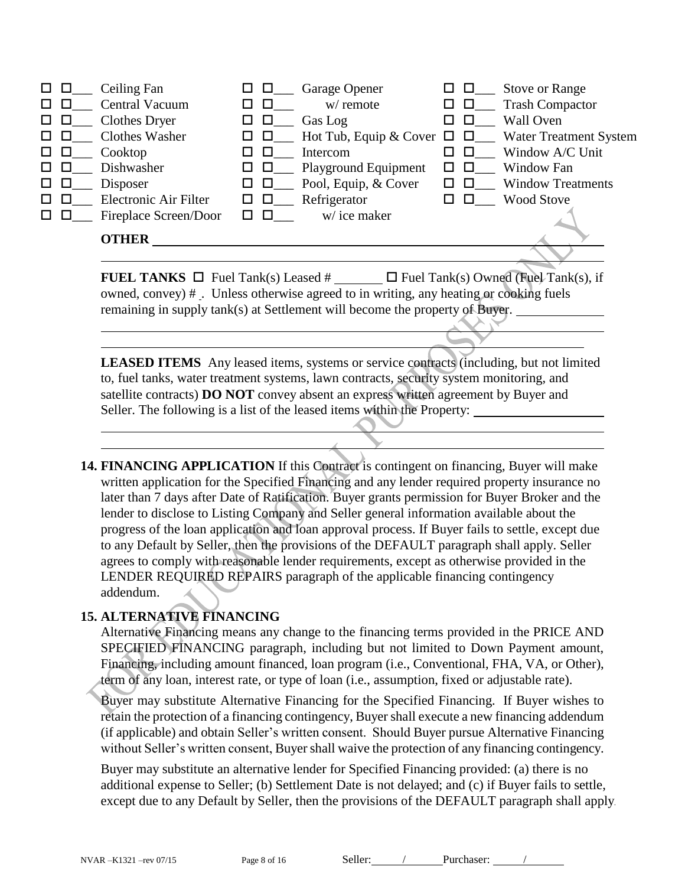| □□            |               | Ceiling Fan           | பப            |               | Garage Opener                                               | $\Box$ $\Box$ | <b>Stove or Range</b>    |
|---------------|---------------|-----------------------|---------------|---------------|-------------------------------------------------------------|---------------|--------------------------|
| $\Box$ $\Box$ |               | Central Vacuum        |               | $\Box$        | w/ remote                                                   | $\Box$        | <b>Trash Compactor</b>   |
|               | $\Box$ $\Box$ | <b>Clothes Dryer</b>  | ш             | $\Box$        | Gas Log                                                     |               | <b>Wall Oven</b>         |
| $\Box$ $\Box$ |               | Clothes Washer        |               | $\Box$ $\Box$ | Hot Tub, Equip & Cover $\Box$ $\Box$ Water Treatment System |               |                          |
| □□            |               | Cooktop               |               | $\Box$        | Intercom                                                    | $\Box$        | Window A/C Unit          |
| □□            |               | Dishwasher            | ப             | $\Box$        | Playground Equipment                                        | $\Box$ $\Box$ | Window Fan               |
| □□            |               | Disposer              | ш             | $\Box$        | Pool, Equip, & Cover                                        | $\Box$ $\Box$ | <b>Window Treatments</b> |
| 0 O           |               | Electronic Air Filter | $\Box$ $\Box$ |               | Refrigerator                                                |               | <b>Wood Stove</b>        |
| $\Box$ $\Box$ |               | Fireplace Screen/Door | $\Box$ $\Box$ |               | w/ice maker                                                 |               |                          |
|               |               | <b>OTHER</b>          |               |               |                                                             |               |                          |
|               |               |                       |               |               |                                                             |               |                          |

**FUEL TANKS**  $\Box$  Fuel Tank(s) Leased  $\#$   $\Box$  Fuel Tank(s) Owned (Fuel Tank(s), if owned, convey) # . Unless otherwise agreed to in writing, any heating or cooking fuels remaining in supply tank(s) at Settlement will become the property of Buyer.

**LEASED ITEMS** Any leased items, systems or service contracts (including, but not limited to, fuel tanks, water treatment systems, lawn contracts, security system monitoring, and satellite contracts) **DO NOT** convey absent an express written agreement by Buyer and Seller. The following is a list of the leased items within the Property:

14. **FINANCING APPLICATION** If this Contract is contingent on financing, Buyer will make written application for the Specified Financing and any lender required property insurance no later than 7 days after Date of Ratification. Buyer grants permission for Buyer Broker and the lender to disclose to Listing Company and Seller general information available about the progress of the loan application and loan approval process. If Buyer fails to settle, except due to any Default by Seller, then the provisions of the DEFAULT paragraph shall apply. Seller agrees to comply with reasonable lender requirements, except as otherwise provided in the LENDER REQUIRED REPAIRS paragraph of the applicable financing contingency addendum.

#### **15. ALTERNATIVE FINANCING**

Alternative Financing means any change to the financing terms provided in the PRICE AND SPECIFIED FINANCING paragraph, including but not limited to Down Payment amount, Financing, including amount financed, loan program (i.e., Conventional, FHA, VA, or Other), term of any loan, interest rate, or type of loan (i.e., assumption, fixed or adjustable rate).

Buyer may substitute Alternative Financing for the Specified Financing. If Buyer wishes to retain the protection of a financing contingency, Buyer shall execute a new financing addendum (if applicable) and obtain Seller's written consent. Should Buyer pursue Alternative Financing without Seller's written consent, Buyer shall waive the protection of any financing contingency.

Buyer may substitute an alternative lender for Specified Financing provided: (a) there is no additional expense to Seller; (b) Settlement Date is not delayed; and (c) if Buyer fails to settle, except due to any Default by Seller, then the provisions of the DEFAULT paragraph shall apply.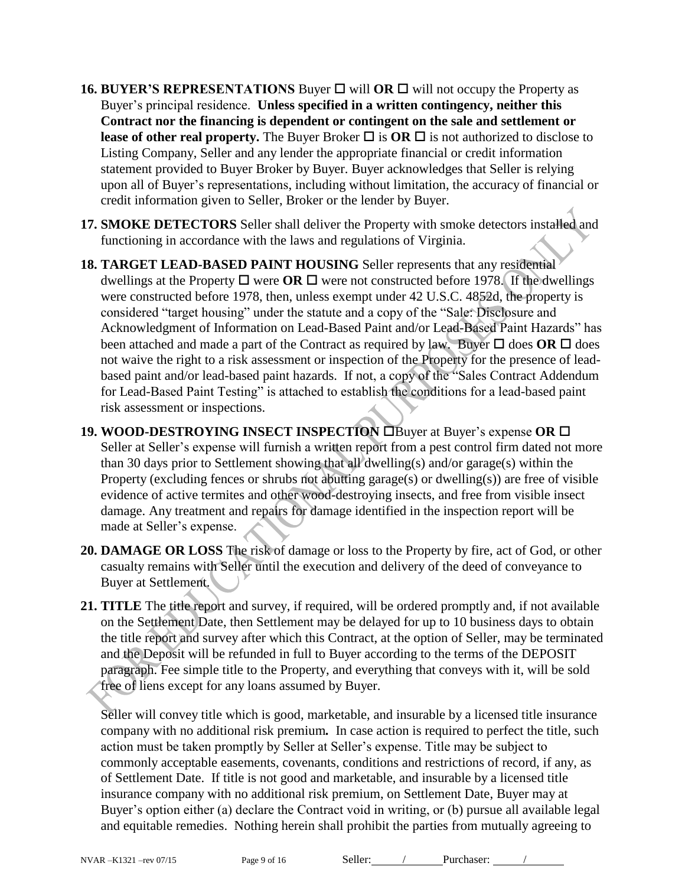- **16. BUYER'S REPRESENTATIONS** Buyer  $\Box$  will **OR**  $\Box$  will not occupy the Property as Buyer's principal residence. **Unless specified in a written contingency, neither this Contract nor the financing is dependent or contingent on the sale and settlement or lease of other real property.** The Buyer Broker  $\Box$  is **OR**  $\Box$  is not authorized to disclose to Listing Company, Seller and any lender the appropriate financial or credit information statement provided to Buyer Broker by Buyer. Buyer acknowledges that Seller is relying upon all of Buyer's representations, including without limitation, the accuracy of financial or credit information given to Seller, Broker or the lender by Buyer.
- **17. SMOKE DETECTORS** Seller shall deliver the Property with smoke detectors installed and functioning in accordance with the laws and regulations of Virginia.
- **18. TARGET LEAD-BASED PAINT HOUSING** Seller represents that any residential dwellings at the Property  $\Box$  were **OR**  $\Box$  were not constructed before 1978. If the dwellings were constructed before 1978, then, unless exempt under 42 U.S.C. 4852d, the property is considered "target housing" under the statute and a copy of the "Sale: Disclosure and Acknowledgment of Information on Lead-Based Paint and/or Lead-Based Paint Hazards" has been attached and made a part of the Contract as required by law. Buyer  $\Box$  does **OR**  $\Box$  does not waive the right to a risk assessment or inspection of the Property for the presence of leadbased paint and/or lead-based paint hazards. If not, a copy of the "Sales Contract Addendum for Lead-Based Paint Testing" is attached to establish the conditions for a lead-based paint risk assessment or inspections.
- **19. WOOD-DESTROYING INSECT INSPECTION Example 2** Buyer's expense **OR** E Seller at Seller's expense will furnish a written report from a pest control firm dated not more than 30 days prior to Settlement showing that all dwelling(s) and/or garage(s) within the Property (excluding fences or shrubs not abutting garage(s) or dwelling(s)) are free of visible evidence of active termites and other wood-destroying insects, and free from visible insect damage. Any treatment and repairs for damage identified in the inspection report will be made at Seller's expense.
- **20. DAMAGE OR LOSS** The risk of damage or loss to the Property by fire, act of God, or other casualty remains with Seller until the execution and delivery of the deed of conveyance to Buyer at Settlement.
- **21. TITLE** The title report and survey, if required, will be ordered promptly and, if not available on the Settlement Date, then Settlement may be delayed for up to 10 business days to obtain the title report and survey after which this Contract, at the option of Seller, may be terminated and the Deposit will be refunded in full to Buyer according to the terms of the DEPOSIT paragraph. Fee simple title to the Property, and everything that conveys with it, will be sold free of liens except for any loans assumed by Buyer.

Seller will convey title which is good, marketable, and insurable by a licensed title insurance company with no additional risk premium*.* In case action is required to perfect the title, such action must be taken promptly by Seller at Seller's expense. Title may be subject to commonly acceptable easements, covenants, conditions and restrictions of record, if any, as of Settlement Date. If title is not good and marketable, and insurable by a licensed title insurance company with no additional risk premium, on Settlement Date, Buyer may at Buyer's option either (a) declare the Contract void in writing, or (b) pursue all available legal and equitable remedies. Nothing herein shall prohibit the parties from mutually agreeing to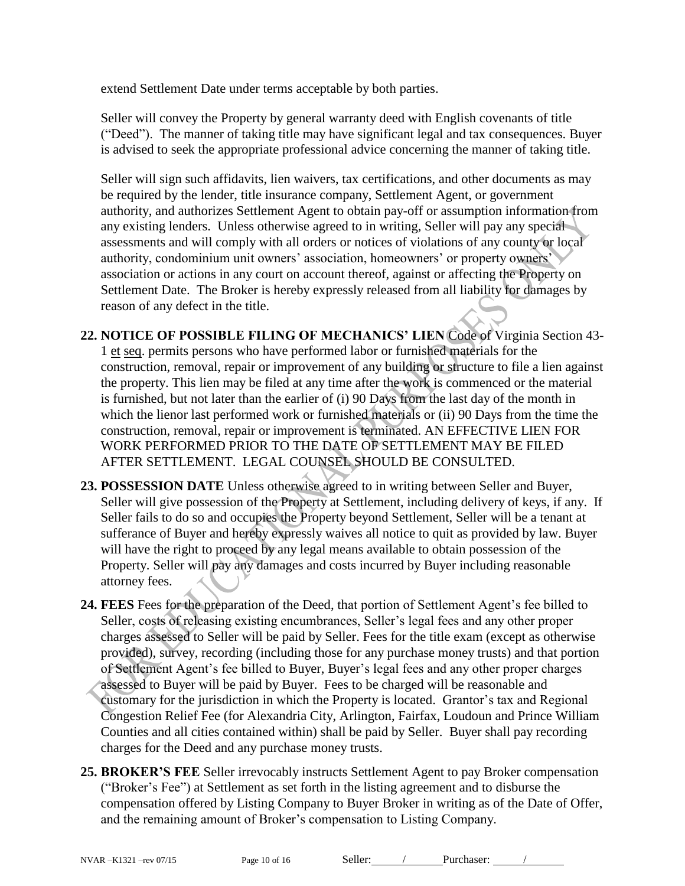extend Settlement Date under terms acceptable by both parties.

Seller will convey the Property by general warranty deed with English covenants of title ("Deed").The manner of taking title may have significant legal and tax consequences. Buyer is advised to seek the appropriate professional advice concerning the manner of taking title.

Seller will sign such affidavits, lien waivers, tax certifications, and other documents as may be required by the lender, title insurance company, Settlement Agent, or government authority, and authorizes Settlement Agent to obtain pay-off or assumption information from any existing lenders. Unless otherwise agreed to in writing, Seller will pay any special assessments and will comply with all orders or notices of violations of any county or local authority, condominium unit owners' association, homeowners' or property owners' association or actions in any court on account thereof, against or affecting the Property on Settlement Date. The Broker is hereby expressly released from all liability for damages by reason of any defect in the title.

**22. NOTICE OF POSSIBLE FILING OF MECHANICS' LIEN** Code of Virginia Section 43- 1 et seq. permits persons who have performed labor or furnished materials for the construction, removal, repair or improvement of any building or structure to file a lien against the property. This lien may be filed at any time after the work is commenced or the material is furnished, but not later than the earlier of (i) 90 Days from the last day of the month in which the lienor last performed work or furnished materials or (ii) 90 Days from the time the construction, removal, repair or improvement is terminated. AN EFFECTIVE LIEN FOR WORK PERFORMED PRIOR TO THE DATE OF SETTLEMENT MAY BE FILED AFTER SETTLEMENT. LEGAL COUNSEL SHOULD BE CONSULTED.

- **23. POSSESSION DATE** Unless otherwise agreed to in writing between Seller and Buyer, Seller will give possession of the Property at Settlement, including delivery of keys, if any. If Seller fails to do so and occupies the Property beyond Settlement, Seller will be a tenant at sufferance of Buyer and hereby expressly waives all notice to quit as provided by law. Buyer will have the right to proceed by any legal means available to obtain possession of the Property. Seller will pay any damages and costs incurred by Buyer including reasonable attorney fees.
- **24. FEES** Fees for the preparation of the Deed, that portion of Settlement Agent's fee billed to Seller, costs of releasing existing encumbrances, Seller's legal fees and any other proper charges assessed to Seller will be paid by Seller. Fees for the title exam (except as otherwise provided), survey, recording (including those for any purchase money trusts) and that portion of Settlement Agent's fee billed to Buyer, Buyer's legal fees and any other proper charges assessed to Buyer will be paid by Buyer. Fees to be charged will be reasonable and customary for the jurisdiction in which the Property is located. Grantor's tax and Regional Congestion Relief Fee (for Alexandria City, Arlington, Fairfax, Loudoun and Prince William Counties and all cities contained within) shall be paid by Seller. Buyer shall pay recording charges for the Deed and any purchase money trusts.
- **25. BROKER'S FEE** Seller irrevocably instructs Settlement Agent to pay Broker compensation ("Broker's Fee") at Settlement as set forth in the listing agreement and to disburse the compensation offered by Listing Company to Buyer Broker in writing as of the Date of Offer, and the remaining amount of Broker's compensation to Listing Company.

NVAR-K1321 –rev 07/15 Page 10 of 16 Seller: / Purchaser: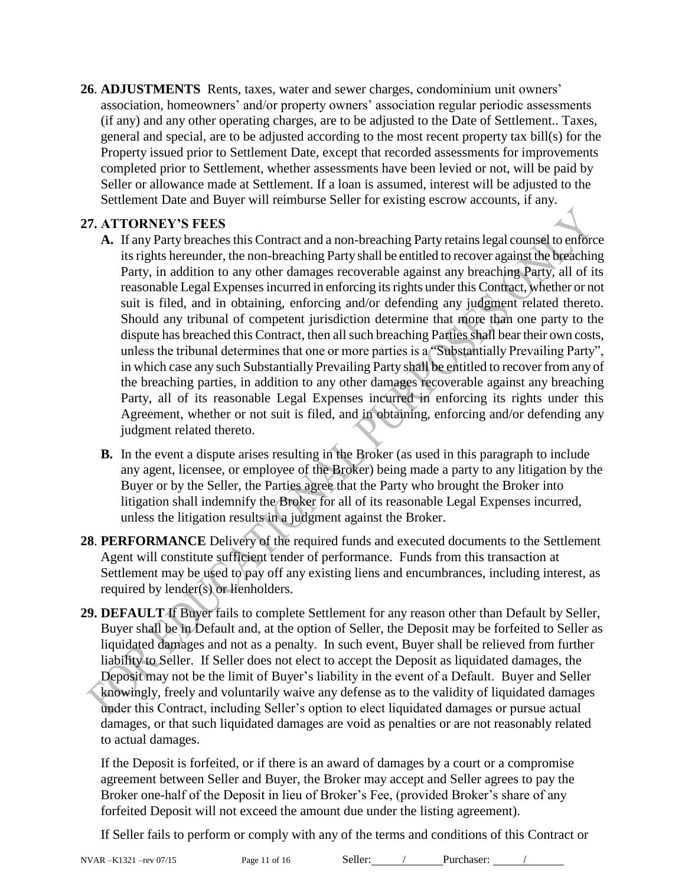**26**. **ADJUSTMENTS** Rents, taxes, water and sewer charges, condominium unit owners' association, homeowners' and/or property owners' association regular periodic assessments (if any) and any other operating charges, are to be adjusted to the Date of Settlement.. Taxes, general and special, are to be adjusted according to the most recent property tax bill(s) for the Property issued prior to Settlement Date, except that recorded assessments for improvements completed prior to Settlement, whether assessments have been levied or not, will be paid by Seller or allowance made at Settlement. If a loan is assumed, interest will be adjusted to the Settlement Date and Buyer will reimburse Seller for existing escrow accounts, if any.

#### **27. ATTORNEY'S FEES**

- **A.** If any Party breaches this Contract and a non-breaching Party retains legal counsel to enforce its rights hereunder, the non-breaching Party shall be entitled to recover against the breaching Party, in addition to any other damages recoverable against any breaching Party, all of its reasonable Legal Expenses incurred in enforcing its rights under this Contract, whether or not suit is filed, and in obtaining, enforcing and/or defending any judgment related thereto. Should any tribunal of competent jurisdiction determine that more than one party to the dispute has breached this Contract, then all such breaching Parties shall bear their own costs, unless the tribunal determines that one or more parties is a "Substantially Prevailing Party", in which case any such Substantially Prevailing Party shall be entitled to recover from any of the breaching parties, in addition to any other damages recoverable against any breaching Party, all of its reasonable Legal Expenses incurred in enforcing its rights under this Agreement, whether or not suit is filed, and in obtaining, enforcing and/or defending any judgment related thereto.
- **B.** In the event a dispute arises resulting in the Broker (as used in this paragraph to include any agent, licensee, or employee of the Broker) being made a party to any litigation by the Buyer or by the Seller, the Parties agree that the Party who brought the Broker into litigation shall indemnify the Broker for all of its reasonable Legal Expenses incurred, unless the litigation results in a judgment against the Broker.
- **28**. **PERFORMANCE** Delivery of the required funds and executed documents to the Settlement Agent will constitute sufficient tender of performance. Funds from this transaction at Settlement may be used to pay off any existing liens and encumbrances, including interest, as required by lender(s) or lienholders.
- **29. DEFAULT** If Buyer fails to complete Settlement for any reason other than Default by Seller, Buyer shall be in Default and, at the option of Seller, the Deposit may be forfeited to Seller as liquidated damages and not as a penalty. In such event, Buyer shall be relieved from further liability to Seller. If Seller does not elect to accept the Deposit as liquidated damages, the Deposit may not be the limit of Buyer's liability in the event of a Default. Buyer and Seller knowingly, freely and voluntarily waive any defense as to the validity of liquidated damages under this Contract, including Seller's option to elect liquidated damages or pursue actual damages, or that such liquidated damages are void as penalties or are not reasonably related to actual damages.

If the Deposit is forfeited, or if there is an award of damages by a court or a compromise agreement between Seller and Buyer, the Broker may accept and Seller agrees to pay the Broker one-half of the Deposit in lieu of Broker's Fee, (provided Broker's share of any forfeited Deposit will not exceed the amount due under the listing agreement).

If Seller fails to perform or comply with any of the terms and conditions of this Contract or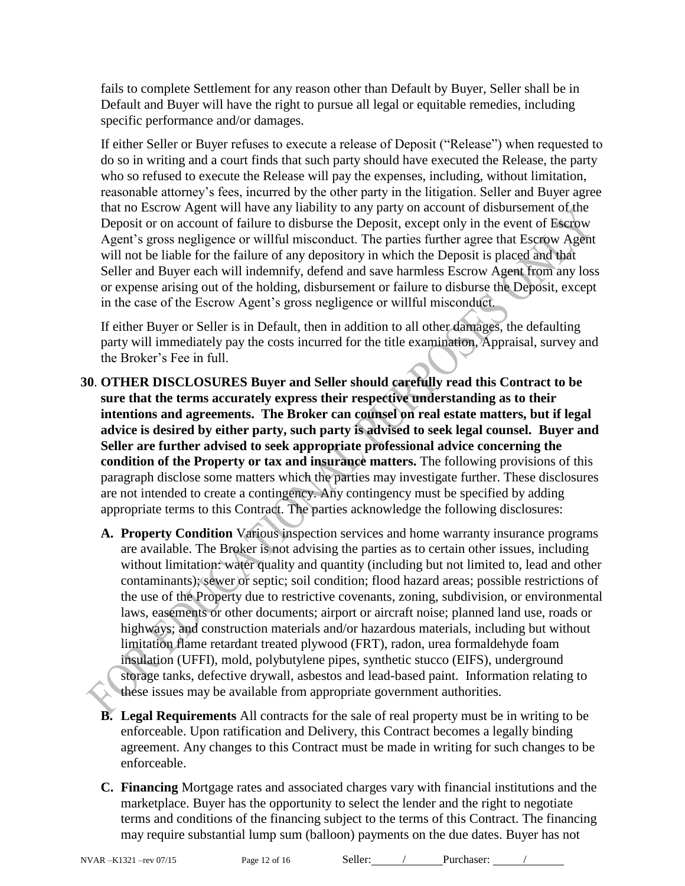fails to complete Settlement for any reason other than Default by Buyer, Seller shall be in Default and Buyer will have the right to pursue all legal or equitable remedies, including specific performance and/or damages.

If either Seller or Buyer refuses to execute a release of Deposit ("Release") when requested to do so in writing and a court finds that such party should have executed the Release, the party who so refused to execute the Release will pay the expenses, including, without limitation, reasonable attorney's fees, incurred by the other party in the litigation. Seller and Buyer agree that no Escrow Agent will have any liability to any party on account of disbursement of the Deposit or on account of failure to disburse the Deposit, except only in the event of Escrow Agent's gross negligence or willful misconduct. The parties further agree that Escrow Agent will not be liable for the failure of any depository in which the Deposit is placed and that Seller and Buyer each will indemnify, defend and save harmless Escrow Agent from any loss or expense arising out of the holding, disbursement or failure to disburse the Deposit, except in the case of the Escrow Agent's gross negligence or willful misconduct.

If either Buyer or Seller is in Default, then in addition to all other damages, the defaulting party will immediately pay the costs incurred for the title examination, Appraisal, survey and the Broker's Fee in full.

- **30**. **OTHER DISCLOSURES Buyer and Seller should carefully read this Contract to be sure that the terms accurately express their respective understanding as to their intentions and agreements. The Broker can counsel on real estate matters, but if legal advice is desired by either party, such party is advised to seek legal counsel. Buyer and Seller are further advised to seek appropriate professional advice concerning the condition of the Property or tax and insurance matters.** The following provisions of this paragraph disclose some matters which the parties may investigate further. These disclosures are not intended to create a contingency. Any contingency must be specified by adding appropriate terms to this Contract. The parties acknowledge the following disclosures:
	- **A. Property Condition** Various inspection services and home warranty insurance programs are available. The Broker is not advising the parties as to certain other issues, including without limitation: water quality and quantity (including but not limited to, lead and other contaminants); sewer or septic; soil condition; flood hazard areas; possible restrictions of the use of the Property due to restrictive covenants, zoning, subdivision, or environmental laws, easements or other documents; airport or aircraft noise; planned land use, roads or highways; and construction materials and/or hazardous materials, including but without limitation flame retardant treated plywood (FRT), radon, urea formaldehyde foam insulation (UFFI), mold, polybutylene pipes, synthetic stucco (EIFS), underground storage tanks, defective drywall, asbestos and lead-based paint. Information relating to these issues may be available from appropriate government authorities.
	- **B. Legal Requirements** All contracts for the sale of real property must be in writing to be enforceable. Upon ratification and Delivery, this Contract becomes a legally binding agreement. Any changes to this Contract must be made in writing for such changes to be enforceable.
	- **C. Financing** Mortgage rates and associated charges vary with financial institutions and the marketplace. Buyer has the opportunity to select the lender and the right to negotiate terms and conditions of the financing subject to the terms of this Contract. The financing may require substantial lump sum (balloon) payments on the due dates. Buyer has not

NVAR –K1321 –rev 07/15 Page 12 of 16 Seller: / Purchaser: /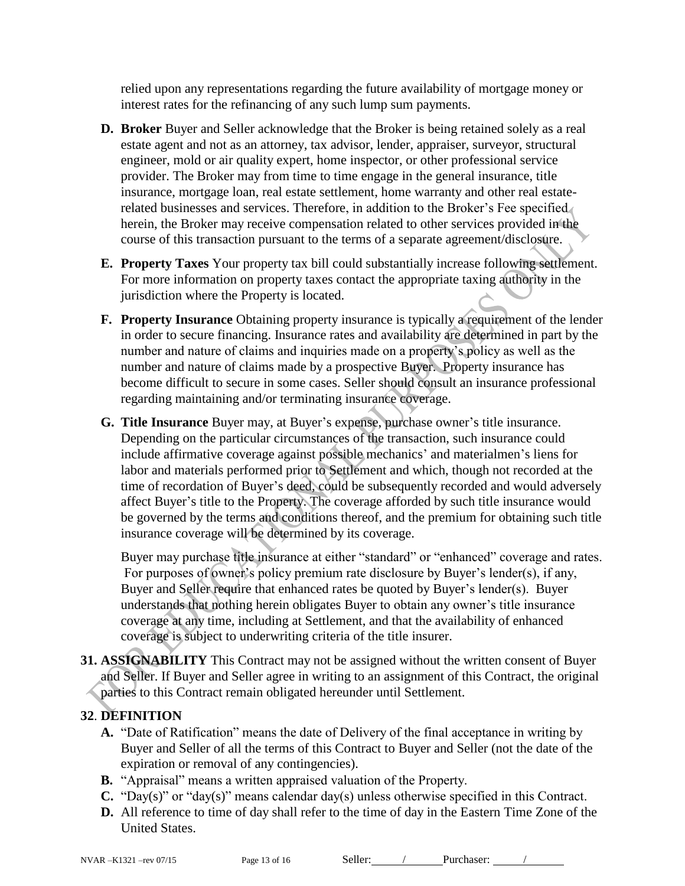relied upon any representations regarding the future availability of mortgage money or interest rates for the refinancing of any such lump sum payments.

- **D. Broker** Buyer and Seller acknowledge that the Broker is being retained solely as a real estate agent and not as an attorney, tax advisor, lender, appraiser, surveyor, structural engineer, mold or air quality expert, home inspector, or other professional service provider. The Broker may from time to time engage in the general insurance, title insurance, mortgage loan, real estate settlement, home warranty and other real estaterelated businesses and services. Therefore, in addition to the Broker's Fee specified herein, the Broker may receive compensation related to other services provided in the course of this transaction pursuant to the terms of a separate agreement/disclosure.
- **E. Property Taxes** Your property tax bill could substantially increase following settlement. For more information on property taxes contact the appropriate taxing authority in the jurisdiction where the Property is located.
- **F. Property Insurance** Obtaining property insurance is typically a requirement of the lender in order to secure financing. Insurance rates and availability are determined in part by the number and nature of claims and inquiries made on a property's policy as well as the number and nature of claims made by a prospective Buyer. Property insurance has become difficult to secure in some cases. Seller should consult an insurance professional regarding maintaining and/or terminating insurance coverage.
- **G. Title Insurance** Buyer may, at Buyer's expense, purchase owner's title insurance. Depending on the particular circumstances of the transaction, such insurance could include affirmative coverage against possible mechanics' and materialmen's liens for labor and materials performed prior to Settlement and which, though not recorded at the time of recordation of Buyer's deed, could be subsequently recorded and would adversely affect Buyer's title to the Property. The coverage afforded by such title insurance would be governed by the terms and conditions thereof, and the premium for obtaining such title insurance coverage will be determined by its coverage.

Buyer may purchase title insurance at either "standard" or "enhanced" coverage and rates. For purposes of owner's policy premium rate disclosure by Buyer's lender(s), if any, Buyer and Seller require that enhanced rates be quoted by Buyer's lender(s). Buyer understands that nothing herein obligates Buyer to obtain any owner's title insurance coverage at any time, including at Settlement, and that the availability of enhanced coverage is subject to underwriting criteria of the title insurer.

**31. ASSIGNABILITY** This Contract may not be assigned without the written consent of Buyer and Seller. If Buyer and Seller agree in writing to an assignment of this Contract, the original parties to this Contract remain obligated hereunder until Settlement.

### **32**. **DEFINITION**

- **A.** "Date of Ratification" means the date of Delivery of the final acceptance in writing by Buyer and Seller of all the terms of this Contract to Buyer and Seller (not the date of the expiration or removal of any contingencies).
- **B.** "Appraisal" means a written appraised valuation of the Property.
- **C.** "Day(s)" or "day(s)" means calendar day(s) unless otherwise specified in this Contract.
- **D.** All reference to time of day shall refer to the time of day in the Eastern Time Zone of the United States.

NVAR –K1321 –rev 07/15 Page 13 of 16 Seller: / Purchaser: /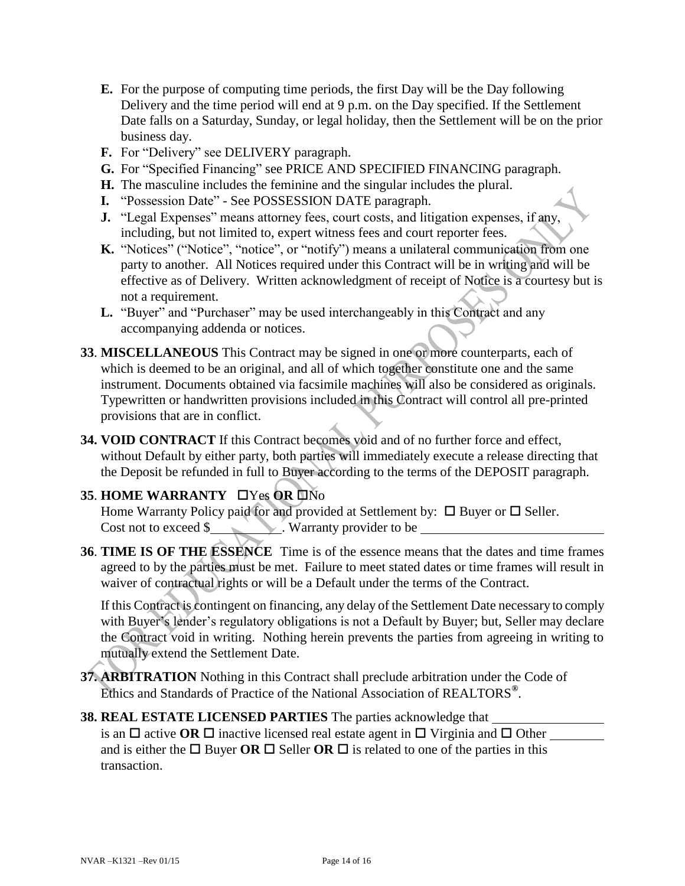- **E.** For the purpose of computing time periods, the first Day will be the Day following Delivery and the time period will end at 9 p.m. on the Day specified. If the Settlement Date falls on a Saturday, Sunday, or legal holiday, then the Settlement will be on the prior business day.
- **F.** For "Delivery" see DELIVERY paragraph.
- **G.** For "Specified Financing" see PRICE AND SPECIFIED FINANCING paragraph.
- **H.** The masculine includes the feminine and the singular includes the plural.
- **I.** "Possession Date" See POSSESSION DATE paragraph.
- **J.** "Legal Expenses" means attorney fees, court costs, and litigation expenses, if any, including, but not limited to, expert witness fees and court reporter fees.
- K. "Notices" ("Notice", "notice", or "notify") means a unilateral communication from one party to another. All Notices required under this Contract will be in writing and will be effective as of Delivery. Written acknowledgment of receipt of Notice is a courtesy but is not a requirement.
- L. "Buyer" and "Purchaser" may be used interchangeably in this Contract and any accompanying addenda or notices.
- **33**. **MISCELLANEOUS** This Contract may be signed in one or more counterparts, each of which is deemed to be an original, and all of which together constitute one and the same instrument. Documents obtained via facsimile machines will also be considered as originals. Typewritten or handwritten provisions included in this Contract will control all pre-printed provisions that are in conflict.
- **34. VOID CONTRACT** If this Contract becomes void and of no further force and effect, without Default by either party, both parties will immediately execute a release directing that the Deposit be refunded in full to Buyer according to the terms of the DEPOSIT paragraph.

#### **35. HOME WARRANTY UYes OR UNO**

Home Warranty Policy paid for and provided at Settlement by:  $\Box$  Buyer or  $\Box$  Seller. Cost not to exceed \$

**36**. **TIME IS OF THE ESSENCE** Time is of the essence means that the dates and time frames agreed to by the parties must be met. Failure to meet stated dates or time frames will result in waiver of contractual rights or will be a Default under the terms of the Contract.

If this Contract is contingent on financing, any delay of the Settlement Date necessary to comply with Buyer's lender's regulatory obligations is not a Default by Buyer; but, Seller may declare the Contract void in writing. Nothing herein prevents the parties from agreeing in writing to mutually extend the Settlement Date.

- **37. ARBITRATION** Nothing in this Contract shall preclude arbitration under the Code of Ethics and Standards of Practice of the National Association of REALTORS**®** .
- **38. REAL ESTATE LICENSED PARTIES** The parties acknowledge that is an  $\Box$  active OR  $\Box$  inactive licensed real estate agent in  $\Box$  Virginia and  $\Box$  Other and is either the  $\Box$  Buyer **OR**  $\Box$  Seller **OR**  $\Box$  is related to one of the parties in this transaction.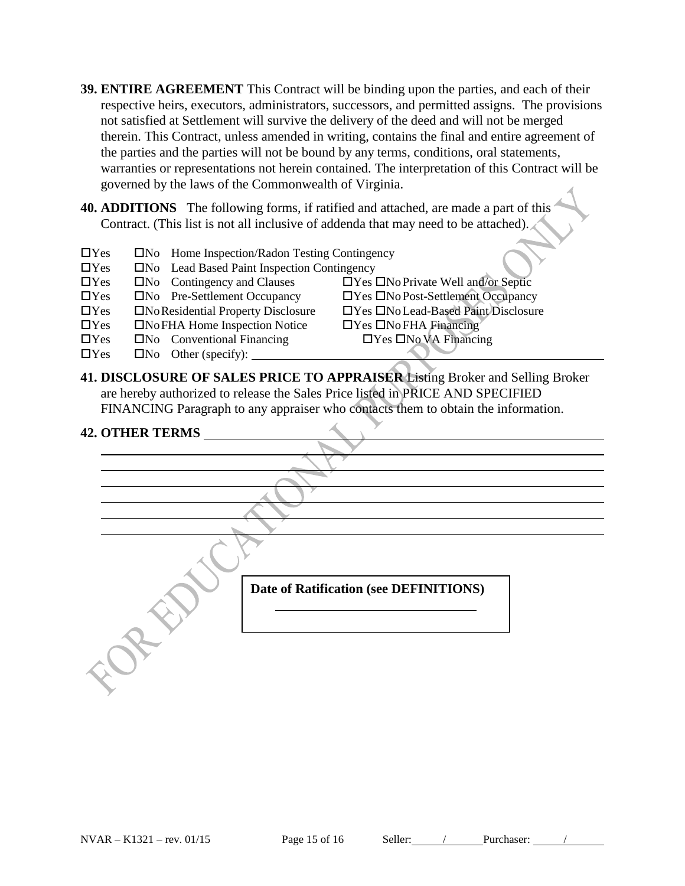- **39. ENTIRE AGREEMENT** This Contract will be binding upon the parties, and each of their respective heirs, executors, administrators, successors, and permitted assigns. The provisions not satisfied at Settlement will survive the delivery of the deed and will not be merged therein. This Contract, unless amended in writing, contains the final and entire agreement of the parties and the parties will not be bound by any terms, conditions, oral statements, warranties or representations not herein contained. The interpretation of this Contract will be governed by the laws of the Commonwealth of Virginia.
- **40. ADDITIONS** The following forms, if ratified and attached, are made a part of this Contract. (This list is not all inclusive of addenda that may need to be attached).
- $\Box$ Yes  $\Box$ No Home Inspection/Radon Testing Contingency
- $\Box$  Yes  $\Box$  No Lead Based Paint Inspection Contingency
- $\Box$  Yes  $\Box$  No Contingency and Clauses  $\Box$  Yes  $\Box$  No Private Well and/or Septic
- Yes No Pre-Settlement Occupancy Yes NoPost-Settlement Occupancy
- Yes NoResidential Property Disclosure Yes NoLead-Based Paint Disclosure
- $\Box$ Yes  $\Box$ NoFHA Home Inspection Notice  $\Box$ Yes  $\Box$ NoFHA Financing
- $\Box$ Yes  $\Box$ No Conventional Financing  $\Box$ Yes  $\Box$ No VA Financing
- $\Box$ Yes  $\Box$ No Other (specify):
- 
- 
- 
- 

**41. DISCLOSURE OF SALES PRICE TO APPRAISER** Listing Broker and Selling Broker are hereby authorized to release the Sales Price listed in PRICE AND SPECIFIED FINANCING Paragraph to any appraiser who contacts them to obtain the information.

#### **42. OTHER TERMS**

| Date of Ratification (see DEFINITIONS) |  |
|----------------------------------------|--|